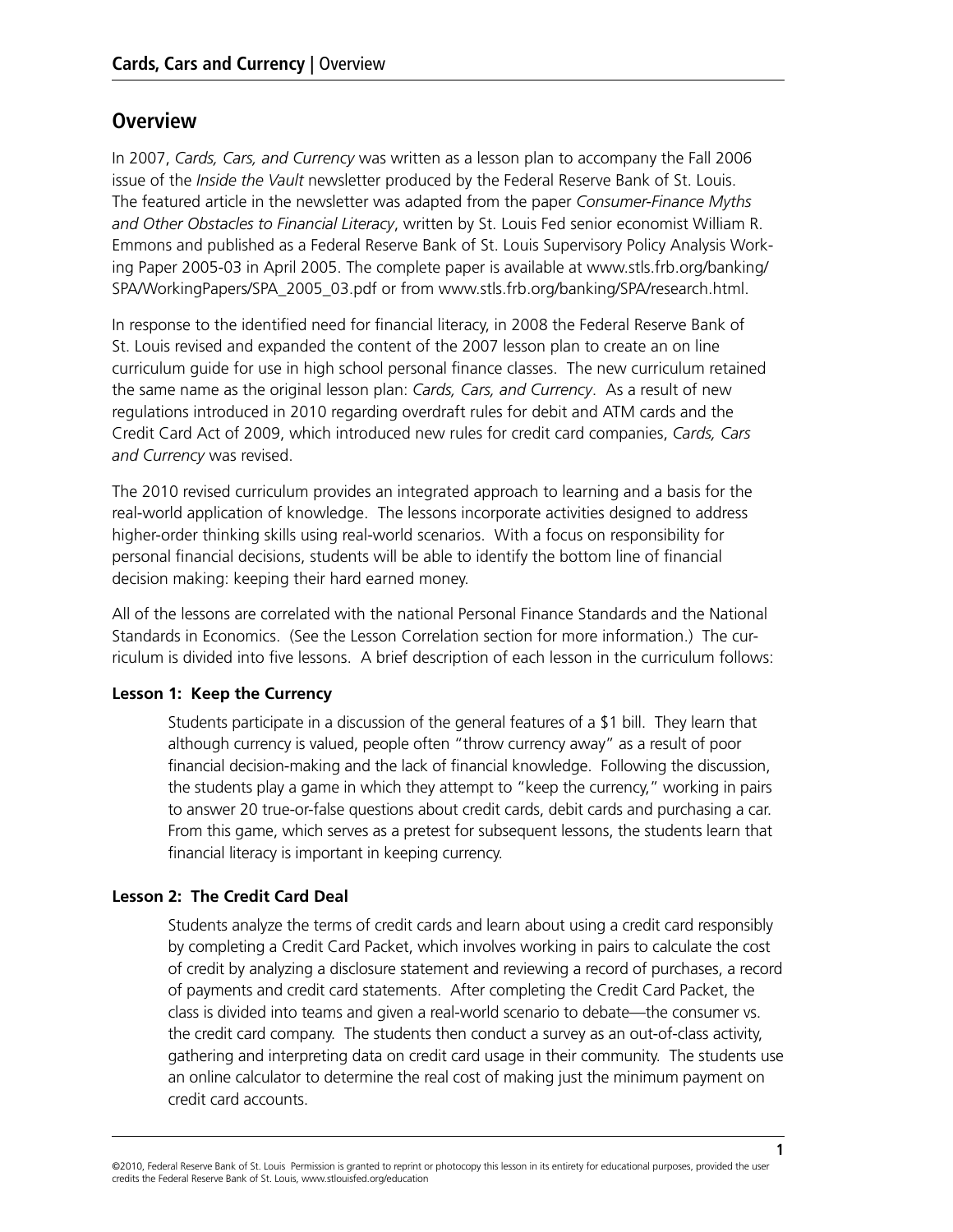# **Overview**

In 2007, *Cards, Cars, and Currency* was written as a lesson plan to accompany the Fall 2006 issue of the *Inside the Vault* newsletter produced by the Federal Reserve Bank of St. Louis. The featured article in the newsletter was adapted from the paper *Consumer-Finance Myths and Other Obstacles to Financial Literacy*, written by St. Louis Fed senior economist William R. Emmons and published as a Federal Reserve Bank of St. Louis Supervisory Policy Analysis Working Paper 2005-03 in April 2005. The complete paper is available at www.stls.frb.org/banking/ SPA/WorkingPapers/SPA\_2005\_03.pdf or from www.stls.frb.org/banking/SPA/research.html.

In response to the identified need for financial literacy, in 2008 the Federal Reserve Bank of St. Louis revised and expanded the content of the 2007 lesson plan to create an on line curriculum guide for use in high school personal finance classes. The new curriculum retained the same name as the original lesson plan: *Cards, Cars, and Currency*. As a result of new regulations introduced in 2010 regarding overdraft rules for debit and ATM cards and the Credit Card Act of 2009, which introduced new rules for credit card companies, *Cards, Cars and Currency* was revised.

The 2010 revised curriculum provides an integrated approach to learning and a basis for the real-world application of knowledge. The lessons incorporate activities designed to address higher-order thinking skills using real-world scenarios. With a focus on responsibility for personal financial decisions, students will be able to identify the bottom line of financial decision making: keeping their hard earned money.

All of the lessons are correlated with the national Personal Finance Standards and the National Standards in Economics. (See the Lesson Correlation section for more information.) The curriculum is divided into five lessons. A brief description of each lesson in the curriculum follows:

## **Lesson 1: Keep the Currency**

Students participate in a discussion of the general features of a \$1 bill. They learn that although currency is valued, people often "throw currency away" as a result of poor financial decision-making and the lack of financial knowledge. Following the discussion, the students play a game in which they attempt to "keep the currency," working in pairs to answer 20 true-or-false questions about credit cards, debit cards and purchasing a car. From this game, which serves as a pretest for subsequent lessons, the students learn that financial literacy is important in keeping currency.

## **Lesson 2: The Credit Card Deal**

Students analyze the terms of credit cards and learn about using a credit card responsibly by completing a Credit Card Packet, which involves working in pairs to calculate the cost of credit by analyzing a disclosure statement and reviewing a record of purchases, a record of payments and credit card statements. After completing the Credit Card Packet, the class is divided into teams and given a real-world scenario to debate—the consumer vs. the credit card company. The students then conduct a survey as an out-of-class activity, gathering and interpreting data on credit card usage in their community. The students use an online calculator to determine the real cost of making just the minimum payment on credit card accounts.

**1**